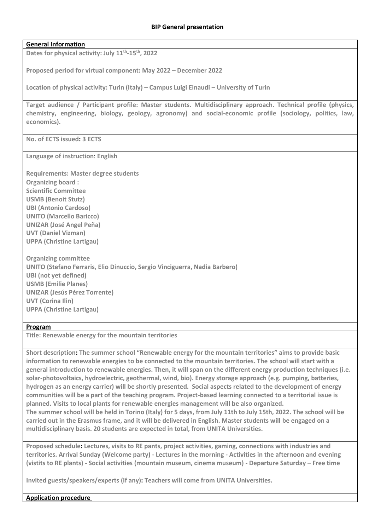## **BIP General presentation**

## **General Information**

**Dates for physical activity: July 11th -15th, 2022**

**Proposed period for virtual component: May 2022 – December 2022**

**Location of physical activity: Turin (Italy) – Campus Luigi Einaudi – University of Turin**

**Target audience / Participant profile: Master students. Multidisciplinary approach. Technical profile (physics, chemistry, engineering, biology, geology, agronomy) and social-economic profile (sociology, politics, law, economics).**

**No. of ECTS issued: 3 ECTS**

**Language of instruction**: **English**

**Requirements: Master degree students**

**Organizing board : Scientific Committee USMB (Benoit Stutz) UBI (Antonio Cardoso) UNITO (Marcello Baricco) UNIZAR (José Angel Peña) UVT (Daniel Vizman) UPPA (Christine Lartigau)**

**Organizing committee UNITO (Stefano Ferraris, Elio Dinuccio, Sergio Vinciguerra, Nadia Barbero) UBI (not yet defined) USMB (Emilie Planes) UNIZAR (Jesús Pérez Torrente) UVT (Corina Ilin) UPPA (Christine Lartigau)**

## **Program**

**Title: Renewable energy for the mountain territories**

**Short description: The summer school "Renewable energy for the mountain territories" aims to provide basic information to renewable energies to be connected to the mountain territories. The school will start with a general introduction to renewable energies. Then, it will span on the different energy production techniques (i.e. solar-photovoltaics, hydroelectric, geothermal, wind, bio). Energy storage approach (e.g. pumping, batteries, hydrogen as an energy carrier) will be shortly presented. Social aspects related to the development of energy communities will be a part of the teaching program. Project-based learning connected to a territorial issue is planned. Visits to local plants for renewable energies management will be also organized. The summer school will be held in Torino (Italy) for 5 days, from July 11th to July 15th, 2022. The school will be carried out in the Erasmus frame, and it will be delivered in English. Master students will be engaged on a multidisciplinary basis. 20 students are expected in total, from UNITA Universities.**

**Proposed schedule: Lectures, visits to RE pants, project activities, gaming, connections with industries and territories. Arrival Sunday (Welcome party) - Lectures in the morning - Activities in the afternoon and evening (vistits to RE plants) - Social activities (mountain museum, cinema museum) - Departure Saturday – Free time**

**Invited guests/speakers/experts (if any): Teachers will come from UNITA Universities.**

**Application procedure**